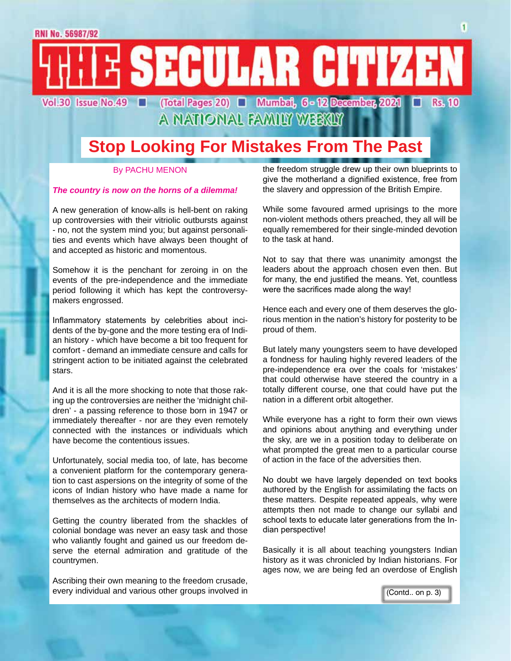E SECULAR CITIZEN Vol.30 Issue No.49 | (Total Pages 20) | Mumbai, 6 - 12 December, 2021 г

**Rs. 10** 

## **Stop Looking For Mistakes From The Past**

A NATIONAL FAMILY WEEKLY

#### By PACHU MENON

#### *The country is now on the horns of a dilemma!*

A new generation of know-alls is hell-bent on raking up controversies with their vitriolic outbursts against - no, not the system mind you; but against personalities and events which have always been thought of and accepted as historic and momentous.

Somehow it is the penchant for zeroing in on the events of the pre-independence and the immediate period following it which has kept the controversymakers engrossed.

Inflammatory statements by celebrities about incidents of the by-gone and the more testing era of Indian history - which have become a bit too frequent for comfort - demand an immediate censure and calls for stringent action to be initiated against the celebrated stars.

And it is all the more shocking to note that those raking up the controversies are neither the 'midnight children' - a passing reference to those born in 1947 or immediately thereafter - nor are they even remotely connected with the instances or individuals which have become the contentious issues.

Unfortunately, social media too, of late, has become a convenient platform for the contemporary generation to cast aspersions on the integrity of some of the icons of Indian history who have made a name for themselves as the architects of modern India.

Getting the country liberated from the shackles of colonial bondage was never an easy task and those who valiantly fought and gained us our freedom deserve the eternal admiration and gratitude of the countrymen.

Ascribing their own meaning to the freedom crusade, every individual and various other groups involved in the freedom struggle drew up their own blueprints to give the motherland a dignified existence, free from the slavery and oppression of the British Empire.

While some favoured armed uprisings to the more non-violent methods others preached, they all will be equally remembered for their single-minded devotion to the task at hand.

Not to say that there was unanimity amongst the leaders about the approach chosen even then. But for many, the end justified the means. Yet, countless were the sacrifices made along the way!

Hence each and every one of them deserves the glorious mention in the nation's history for posterity to be proud of them.

But lately many youngsters seem to have developed a fondness for hauling highly revered leaders of the pre-independence era over the coals for 'mistakes' that could otherwise have steered the country in a totally different course, one that could have put the nation in a different orbit altogether.

While everyone has a right to form their own views and opinions about anything and everything under the sky, are we in a position today to deliberate on what prompted the great men to a particular course of action in the face of the adversities then.

No doubt we have largely depended on text books authored by the English for assimilating the facts on these matters. Despite repeated appeals, why were attempts then not made to change our syllabi and school texts to educate later generations from the Indian perspective!

Basically it is all about teaching youngsters Indian history as it was chronicled by Indian historians. For ages now, we are being fed an overdose of English

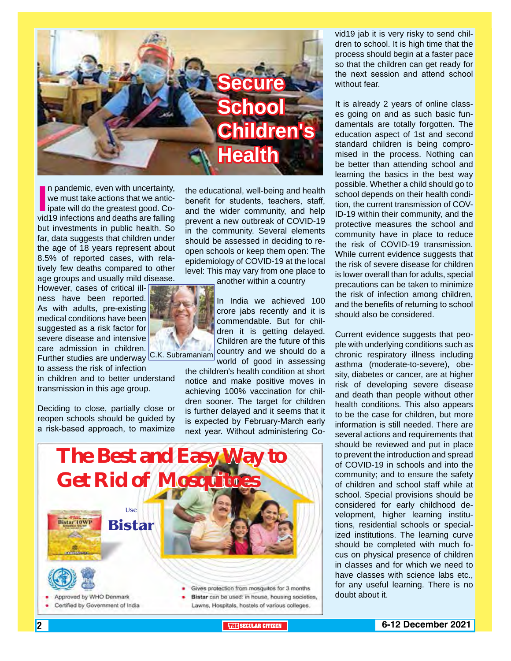

In pandemic, even with uncertainty,<br>
we must take actions that we antic-<br>
ipate will do the greatest good. Co-<br>
vid19 infections and deaths are falling n pandemic, even with uncertainty, we must take actions that we anticlipate will do the greatest good. Cobut investments in public health. So far, data suggests that children under the age of 18 years represent about 8.5% of reported cases, with relatively few deaths compared to other age groups and usually mild disease.

However, cases of critical illness have been reported. As with adults, pre-existing medical conditions have been suggested as a risk factor for severe disease and intensive care admission in children. Further studies are underway C.K. Subramaniam

to assess the risk of infection in children and to better understand

transmission in this age group.

Deciding to close, partially close or reopen schools should be guided by a risk-based approach, to maximize

the educational, well-being and health benefit for students, teachers, staff, and the wider community, and help prevent a new outbreak of COVID-19 in the community. Several elements should be assessed in deciding to reopen schools or keep them open: The epidemiology of COVID-19 at the local level: This may vary from one place to

another within a country

In India we achieved 100 crore jabs recently and it is commendable. But for children it is getting delayed. Children are the future of this country and we should do a world of good in assessing

the children's health condition at short notice and make positive moves in achieving 100% vaccination for children sooner. The target for children is further delayed and it seems that it is expected by February-March early next year. Without administering Co-



vid19 jab it is very risky to send children to school. It is high time that the process should begin at a faster pace so that the children can get ready for the next session and attend school without fear.

It is already 2 years of online classes going on and as such basic fundamentals are totally forgotten. The education aspect of 1st and second standard children is being compromised in the process. Nothing can be better than attending school and learning the basics in the best way possible. Whether a child should go to school depends on their health condition, the current transmission of COV-ID-19 within their community, and the protective measures the school and community have in place to reduce the risk of COVID-19 transmission. While current evidence suggests that the risk of severe disease for children is lower overall than for adults, special precautions can be taken to minimize the risk of infection among children, and the benefits of returning to school should also be considered.

Current evidence suggests that people with underlying conditions such as chronic respiratory illness including asthma (moderate-to-severe), obesity, diabetes or cancer, are at higher risk of developing severe disease and death than people without other health conditions. This also appears to be the case for children, but more information is still needed. There are several actions and requirements that should be reviewed and put in place to prevent the introduction and spread of COVID-19 in schools and into the community; and to ensure the safety of children and school staff while at school. Special provisions should be considered for early childhood development, higher learning institutions, residential schools or specialized institutions. The learning curve should be completed with much focus on physical presence of children in classes and for which we need to have classes with science labs etc., for any useful learning. There is no doubt about it.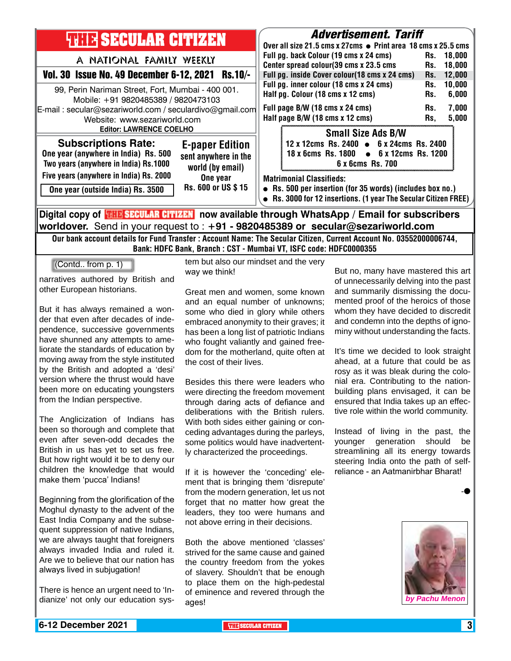| <b>THIE SECULAR CITIZEN</b><br>A NATIONAL FAMILY WEEKLY<br>Vol. 30 Issue No. 49 December 6-12, 2021 Rs.10/-<br>99, Perin Nariman Street, Fort, Mumbai - 400 001.<br>Mobile: +91 9820485389 / 9820473103<br>E-mail: secular@sezariworld.com / seculardivo@gmail.com<br>Website: www.sezariworld.com | <b>Advertisement. Tariff</b><br>Over all size 21.5 cms x 27cms ● Print area 18 cms x 25.5 cms<br>Full pg. back Colour (19 cms x 24 cms)<br>Rs. 18,000<br>Center spread colour(39 cms x 23.5 cms<br>18,000<br>Rs.<br>Full pg. inside Cover colour(18 cms x 24 cms)<br>12,000<br>Rs.<br>Full pg. inner colour (18 cms x 24 cms)<br>10,000<br>Rs.<br>Half pg. Colour (18 cms x 12 cms)<br>6,000<br>Rs.<br>Full page B/W (18 cms x 24 cms)<br>Rs.<br>Half page B/W (18 cms x 12 cms)<br>Rs. | 7,000<br>5,000 |
|----------------------------------------------------------------------------------------------------------------------------------------------------------------------------------------------------------------------------------------------------------------------------------------------------|-----------------------------------------------------------------------------------------------------------------------------------------------------------------------------------------------------------------------------------------------------------------------------------------------------------------------------------------------------------------------------------------------------------------------------------------------------------------------------------------|----------------|
| <b>Editor: LAWRENCE COELHO</b><br><b>Subscriptions Rate:</b><br><b>E-paper Edition</b><br>One year (anywhere in India) Rs. 500<br>sent anywhere in the<br>Two years (anywhere in India) Rs.1000<br>world (by email)                                                                                | <b>Small Size Ads B/W</b><br>12 x 12cms Rs. 2400 • 6 x 24cms Rs. 2400<br>$\bullet$ 6 x 12cms Rs. 1200<br>18 x 6cms Rs. 1800<br>6 x 6cms Rs. 700                                                                                                                                                                                                                                                                                                                                         |                |
| Five years (anywhere in India) Rs. 2000<br>One year<br>Rs. 600 or US \$15<br>One year (outside India) Rs. 3500                                                                                                                                                                                     | <b>Matrimonial Classifieds:</b><br>• Rs. 500 per insertion (for 35 words) (includes box no.)<br>• Rs. 3000 for 12 insertions. (1 year The Secular Citizen FREE)                                                                                                                                                                                                                                                                                                                         |                |
| Digital copy of <b>THE SECULAR CITIZEN</b> now available through WhatsApp / Email for subscribers<br>worldover. Send in your request to : $+91$ - 9820485389 or secular@sezariworld.com                                                                                                            |                                                                                                                                                                                                                                                                                                                                                                                                                                                                                         |                |

Our bank account details for Fund Transfer : Account Name: The Secular Citizen, Current Account No. 03552000006744, Bank: HDFC Bank, Branch : CST - Mumbai VT, ISFC code: HDFC0000355

(Contd.. from p. 1)

narratives authored by British and other European historians.

But it has always remained a wonder that even after decades of independence, successive governments have shunned any attempts to ameliorate the standards of education by moving away from the style instituted by the British and adopted a 'desi' version where the thrust would have been more on educating youngsters from the Indian perspective.

The Anglicization of Indians has been so thorough and complete that even after seven-odd decades the British in us has yet to set us free. But how right would it be to deny our children the knowledge that would make them 'pucca' Indians!

Beginning from the glorification of the Moghul dynasty to the advent of the East India Company and the subsequent suppression of native Indians, we are always taught that foreigners always invaded India and ruled it. Are we to believe that our nation has always lived in subjugation!

There is hence an urgent need to 'Indianize' not only our education system but also our mindset and the very way we think!

Great men and women, some known and an equal number of unknowns; some who died in glory while others embraced anonymity to their graves; it has been a long list of patriotic Indians who fought valiantly and gained freedom for the motherland, quite often at the cost of their lives.

Besides this there were leaders who were directing the freedom movement through daring acts of defiance and deliberations with the British rulers. With both sides either gaining or conceding advantages during the parleys, some politics would have inadvertently characterized the proceedings.

If it is however the 'conceding' element that is bringing them 'disrepute' from the modern generation, let us not forget that no matter how great the leaders, they too were humans and not above erring in their decisions.

Both the above mentioned 'classes' strived for the same cause and gained the country freedom from the yokes of slavery. Shouldn't that be enough to place them on the high-pedestal of eminence and revered through the ages!

But no, many have mastered this art of unnecessarily delving into the past and summarily dismissing the documented proof of the heroics of those whom they have decided to discredit and condemn into the depths of ignominy without understanding the facts.

It's time we decided to look straight ahead, at a future that could be as rosy as it was bleak during the colonial era. Contributing to the nationbuilding plans envisaged, it can be ensured that India takes up an effective role within the world community.

Instead of living in the past, the younger generation should be streamlining all its energy towards steering India onto the path of selfreliance - an Aatmanirbhar Bharat!

-l

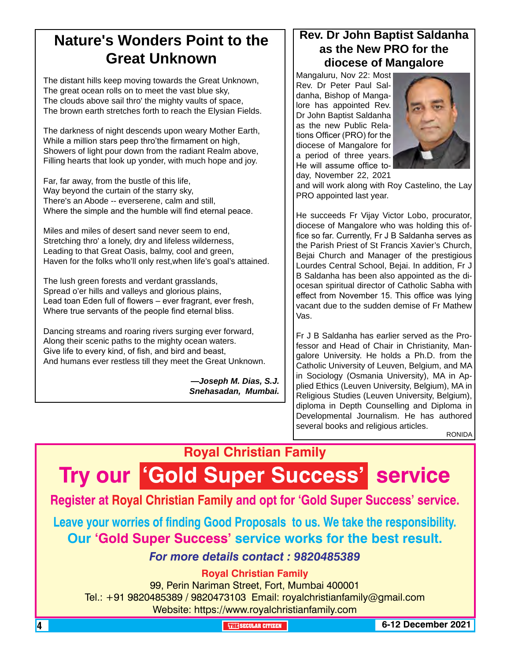## **Nature's Wonders Point to the Great Unknown**

The distant hills keep moving towards the Great Unknown, The great ocean rolls on to meet the vast blue sky, The clouds above sail thro' the mighty vaults of space, The brown earth stretches forth to reach the Elysian Fields.

The darkness of night descends upon weary Mother Earth, While a million stars peep thro'the firmament on high, Showers of light pour down from the radiant Realm above, Filling hearts that look up yonder, with much hope and joy.

Far, far away, from the bustle of this life, Way beyond the curtain of the starry sky, There's an Abode -- everserene, calm and still, Where the simple and the humble will find eternal peace.

Miles and miles of desert sand never seem to end, Stretching thro' a lonely, dry and lifeless wilderness, Leading to that Great Oasis, balmy, cool and green, Haven for the folks who'll only rest,when life's goal's attained.

The lush green forests and verdant grasslands, Spread o'er hills and valleys and glorious plains, Lead toan Eden full of flowers – ever fragrant, ever fresh, Where true servants of the people find eternal bliss.

Dancing streams and roaring rivers surging ever forward, Along their scenic paths to the mighty ocean waters. Give life to every kind, of fish, and bird and beast, And humans ever restless till they meet the Great Unknown.

> *—Joseph M. Dias, S.J. Snehasadan, Mumbai.*

### **Rev. Dr John Baptist Saldanha as the New PRO for the diocese of Mangalore**

Mangaluru, Nov 22: Most Rev. Dr Peter Paul Saldanha, Bishop of Mangalore has appointed Rev. Dr John Baptist Saldanha as the new Public Relations Officer (PRO) for the diocese of Mangalore for a period of three years. He will assume office today, November 22, 2021



and will work along with Roy Castelino, the Lay PRO appointed last year.

He succeeds Fr Vijay Victor Lobo, procurator, diocese of Mangalore who was holding this office so far. Currently, Fr J B Saldanha serves as the Parish Priest of St Francis Xavier's Church, Bejai Church and Manager of the prestigious Lourdes Central School, Bejai. In addition, Fr J B Saldanha has been also appointed as the diocesan spiritual director of Catholic Sabha with effect from November 15. This office was lying vacant due to the sudden demise of Fr Mathew Vas.

Fr J B Saldanha has earlier served as the Professor and Head of Chair in Christianity, Mangalore University. He holds a Ph.D. from the Catholic University of Leuven, Belgium, and MA in Sociology (Osmania University), MA in Applied Ethics (Leuven University, Belgium), MA in Religious Studies (Leuven University, Belgium), diploma in Depth Counselling and Diploma in Developmental Journalism. He has authored several books and religious articles. RONIDA

## **Royal Christian Family**

## **Try our 'Gold Super Success' service**

**Register at Royal Christian Family and opt for 'Gold Super Success' service.**

**Leave your worries of finding Good Proposals to us. We take the responsibility. Our 'Gold Super Success' service works for the best result.**

### *For more details contact : 9820485389*

#### **Royal Christian Family**

99, Perin Nariman Street, Fort, Mumbai 400001 Tel.: +91 9820485389 / 9820473103 Email: royalchristianfamily@gmail.com Website: https://www.royalchristianfamily.com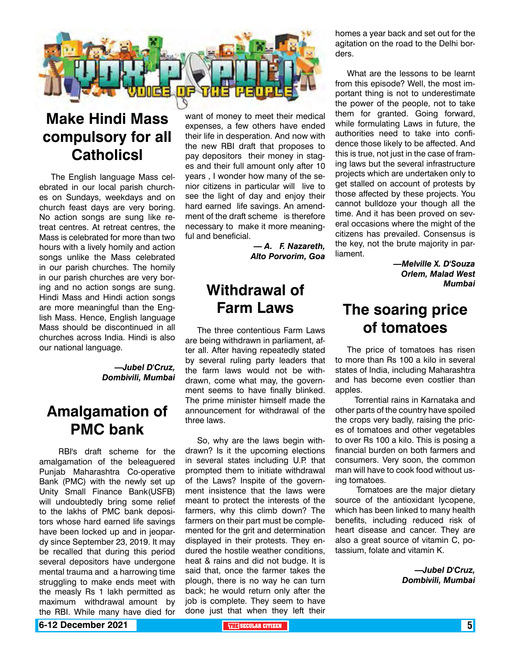

## **Make Hindi Mass compulsory for all Catholicsl**

The English language Mass celebrated in our local parish churches on Sundays, weekdays and on church feast days are very boring. No action songs are sung like retreat centres. At retreat centres, the Mass is celebrated for more than two hours with a lively homily and action songs unlike the Mass celebrated in our parish churches. The homily in our parish churches are very boring and no action songs are sung. Hindi Mass and Hindi action songs are more meaningful than the English Mass. Hence, English language Mass should be discontinued in all churches across India. Hindi is also our national language.

> *—Jubel D'Cruz, Dombivili, Mumbai*

### **Amalgamation of PMC bank**

 RBI's draft scheme for the amalgamation of the beleaguered Punjab Maharashtra Co-operative Bank (PMC) with the newly set up Unity Small Finance Bank(USFB) will undoubtedly bring some relief to the lakhs of PMC bank depositors whose hard earned life savings have been locked up and in jeopardy since September 23, 2019. It may be recalled that during this period several depositors have undergone mental trauma and a harrowing time struggling to make ends meet with the measly Rs 1 lakh permitted as maximum withdrawal amount by the RBI. While many have died for

want of money to meet their medical expenses, a few others have ended their life in desperation. And now with the new RBI draft that proposes to pay depositors their money in stages and their full amount only after 10 years , I wonder how many of the senior citizens in particular will live to see the light of day and enjoy their hard earned life savings. An amendment of the draft scheme is therefore necessary to make it more meaningful and beneficial.

> *— A. F. Nazareth, Alto Porvorim, Goa*

### **Withdrawal of Farm Laws**

The three contentious Farm Laws are being withdrawn in parliament, after all. After having repeatedly stated by several ruling party leaders that the farm laws would not be withdrawn, come what may, the government seems to have finally blinked. The prime minister himself made the announcement for withdrawal of the three laws.

So, why are the laws begin withdrawn? Is it the upcoming elections in several states including U.P. that prompted them to initiate withdrawal of the Laws? Inspite of the government insistence that the laws were meant to protect the interests of the farmers, why this climb down? The farmers on their part must be complemented for the grit and determination displayed in their protests. They endured the hostile weather conditions, heat & rains and did not budge. It is said that, once the farmer takes the plough, there is no way he can turn back; he would return only after the job is complete. They seem to have done just that when they left their

homes a year back and set out for the agitation on the road to the Delhi borders.

What are the lessons to be learnt from this episode? Well, the most important thing is not to underestimate the power of the people, not to take them for granted. Going forward, while formulating Laws in future, the authorities need to take into confidence those likely to be affected. And this is true, not just in the case of framing laws but the several infrastructure projects which are undertaken only to get stalled on account of protests by those affected by these projects. You cannot bulldoze your though all the time. And it has been proved on several occasions where the might of the citizens has prevailed. Consensus is the key, not the brute majority in parliament.

> *—Melville X. D'Souza Orlem, Malad West Mumbai*

### **The soaring price of tomatoes**

The price of tomatoes has risen to more than Rs 100 a kilo in several states of India, including Maharashtra and has become even costlier than apples.

 Torrential rains in Karnataka and other parts of the country have spoiled the crops very badly, raising the prices of tomatoes and other vegetables to over Rs 100 a kilo. This is posing a financial burden on both farmers and consumers. Very soon, the common man will have to cook food without using tomatoes.

 Tomatoes are the major dietary source of the antioxidant lycopene, which has been linked to many health benefits, including reduced risk of heart disease and cancer. They are also a great source of vitamin C, potassium, folate and vitamin K.

> *—Jubel D'Cruz, Dombivili, Mumbai*

**6-12 December 2021 The Contract of the SECULAR CITIZEN THE** SECULAR CITIZEN **1**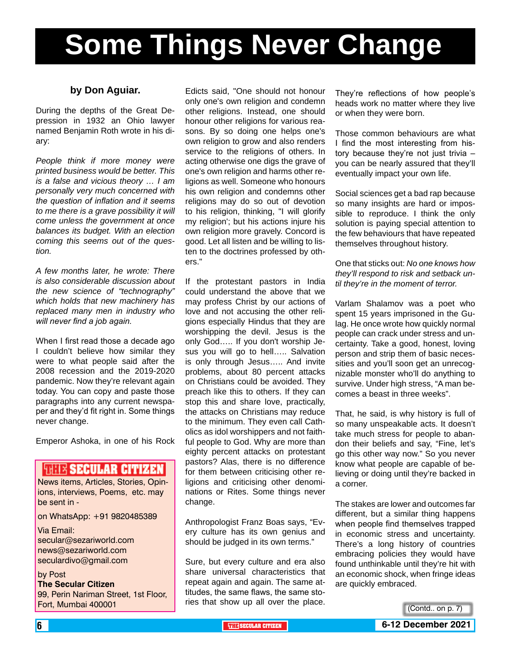# **Some Things Never Change**

#### **by Don Aguiar.**

During the depths of the Great Depression in 1932 an Ohio lawyer named Benjamin Roth wrote in his diary:

*People think if more money were printed business would be better. This is a false and vicious theory … I am personally very much concerned with the question of inflation and it seems to me there is a grave possibility it will come unless the government at once balances its budget. With an election coming this seems out of the question.*

*A few months later, he wrote: There is also considerable discussion about the new science of "technography" which holds that new machinery has replaced many men in industry who will never find a job again.*

When I first read those a decade ago I couldn't believe how similar they were to what people said after the 2008 recession and the 2019-2020 pandemic. Now they're relevant again today. You can copy and paste those paragraphs into any current newspaper and they'd fit right in. Some things never change.

Emperor Ashoka, in one of his Rock

#### **FRITE SECULAR CITIZEN**

News items, Articles, Stories, Opinions, interviews, Poems, etc. may be sent in -

on WhatsApp: +91 9820485389

Via Email: secular@sezariworld.com news@sezariworld.com seculardivo@gmail.com

by Post **The Secular Citizen** 99, Perin Nariman Street, 1st Floor, Fort, Mumbai 400001

Edicts said, "One should not honour only one's own religion and condemn other religions. Instead, one should honour other religions for various reasons. By so doing one helps one's own religion to grow and also renders service to the religions of others. In acting otherwise one digs the grave of one's own religion and harms other religions as well. Someone who honours his own religion and condemns other religions may do so out of devotion to his religion, thinking, "I will glorify my religion'; but his actions injure his own religion more gravely. Concord is good. Let all listen and be willing to listen to the doctrines professed by others."

If the protestant pastors in India could understand the above that we may profess Christ by our actions of love and not accusing the other religions especially Hindus that they are worshipping the devil. Jesus is the only God….. If you don't worship Jesus you will go to hell..... Salvation is only through Jesus….. And invite problems, about 80 percent attacks on Christians could be avoided. They preach like this to others. If they can stop this and share love, practically, the attacks on Christians may reduce to the minimum. They even call Catholics as idol worshippers and not faithful people to God. Why are more than eighty percent attacks on protestant pastors? Alas, there is no difference for them between criticising other religions and criticising other denominations or Rites. Some things never change.

Anthropologist Franz Boas says, "Every culture has its own genius and should be judged in its own terms."

Sure, but every culture and era also share universal characteristics that repeat again and again. The same attitudes, the same flaws, the same stories that show up all over the place.

They're reflections of how people's heads work no matter where they live or when they were born.

Those common behaviours are what I find the most interesting from history because they're not just trivia – you can be nearly assured that they'll eventually impact your own life.

Social sciences get a bad rap because so many insights are hard or impossible to reproduce. I think the only solution is paying special attention to the few behaviours that have repeated themselves throughout history.

One that sticks out: *No one knows how they'll respond to risk and setback until they're in the moment of terror.*

Varlam Shalamov was a poet who spent 15 years imprisoned in the Gulag. He once wrote how quickly normal people can crack under stress and uncertainty. Take a good, honest, loving person and strip them of basic necessities and you'll soon get an unrecognizable monster who'll do anything to survive. Under high stress, "A man becomes a beast in three weeks".

That, he said, is why history is full of so many unspeakable acts. It doesn't take much stress for people to abandon their beliefs and say, "Fine, let's go this other way now." So you never know what people are capable of believing or doing until they're backed in a corner.

The stakes are lower and outcomes far different, but a similar thing happens when people find themselves trapped in economic stress and uncertainty. There's a long history of countries embracing policies they would have found unthinkable until they're hit with an economic shock, when fringe ideas are quickly embraced.

(Contd.. on p. 7)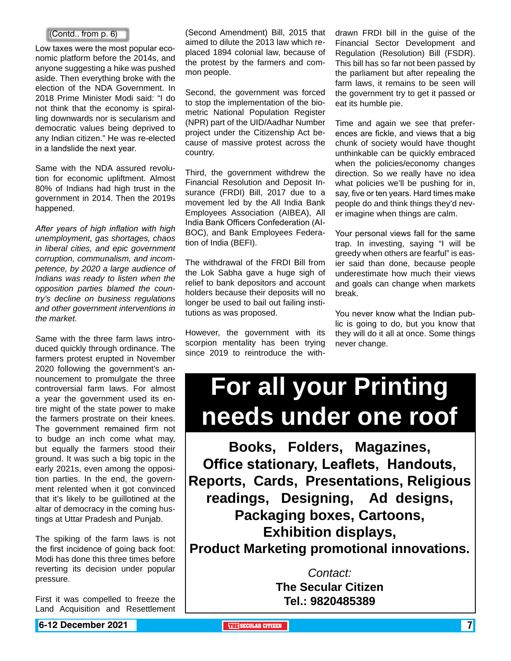Low taxes were the most popular economic platform before the 2014s, and anyone suggesting a hike was pushed aside. Then everything broke with the election of the NDA Government. In 2018 Prime Minister Modi said: "I do not think that the economy is spiralling downwards nor is secularism and democratic values being deprived to any Indian citizen." He was re-elected in a landslide the next year.

Same with the NDA assured revolution for economic upliftment. Almost 80% of Indians had high trust in the government in 2014. Then the 2019s happened.

*After years of high inflation with high unemployment, gas shortages, chaos in liberal cities, and epic government corruption, communalism, and incompetence, by 2020 a large audience of Indians was ready to listen when the opposition parties blamed the country's decline on business regulations and other government interventions in the market.*

Same with the three farm laws introduced quickly through ordinance. The farmers protest erupted in November 2020 following the government's announcement to promulgate the three controversial farm laws. For almost a year the government used its entire might of the state power to make the farmers prostrate on their knees. The government remained firm not to budge an inch come what may, but equally the farmers stood their ground. It was such a big topic in the early 2021s, even among the opposition parties. In the end, the government relented when it got convinced that it's likely to be guillotined at the altar of democracy in the coming hustings at Uttar Pradesh and Punjab.

The spiking of the farm laws is not the first incidence of going back foot: Modi has done this three times before reverting its decision under popular pressure.

First it was compelled to freeze the Land Acquisition and Resettlement

(Second Amendment) Bill, 2015 that aimed to dilute the 2013 law which replaced 1894 colonial law, because of the protest by the farmers and common people.  $[Contd. from p. 6]$   $[Contd. from p. 6]$   $[Contd. In the image]$  (Second Amendment) Bill, 2015 that drawn FRDI bill in the guise of the

> Second, the government was forced to stop the implementation of the biometric National Population Register (NPR) part of the UID/Aadhar Number project under the Citizenship Act because of massive protest across the country.

> Third, the government withdrew the Financial Resolution and Deposit Insurance (FRDI) Bill, 2017 due to a movement led by the All India Bank Employees Association (AIBEA), All India Bank Officers Confederation (AI-BOC), and Bank Employees Federation of India (BEFI).

> The withdrawal of the FRDI Bill from the Lok Sabha gave a huge sigh of relief to bank depositors and account holders because their deposits will no longer be used to bail out failing institutions as was proposed.

> However, the government with its scorpion mentality has been trying since 2019 to reintroduce the with-

Financial Sector Development and Regulation (Resolution) Bill (FSDR). This bill has so far not been passed by the parliament but after repealing the farm laws, it remains to be seen will the government try to get it passed or eat its humble pie.

Time and again we see that preferences are fickle, and views that a big chunk of society would have thought unthinkable can be quickly embraced when the policies/economy changes direction. So we really have no idea what policies we'll be pushing for in, say, five or ten years. Hard times make people do and think things they'd never imagine when things are calm.

Your personal views fall for the same trap. In investing, saying "I will be greedy when others are fearful" is easier said than done, because people underestimate how much their views and goals can change when markets break.

You never know what the Indian public is going to do, but you know that they will do it all at once. Some things never change.

## **For all your Printing needs under one roof**

**Books, Folders, Magazines, Office stationary, Leaflets, Handouts, Reports, Cards, Presentations, Religious readings, Designing, Ad designs, Packaging boxes, Cartoons, Exhibition displays, Product Marketing promotional innovations.**

> *Contact:* **The Secular Citizen Tel.: 9820485389**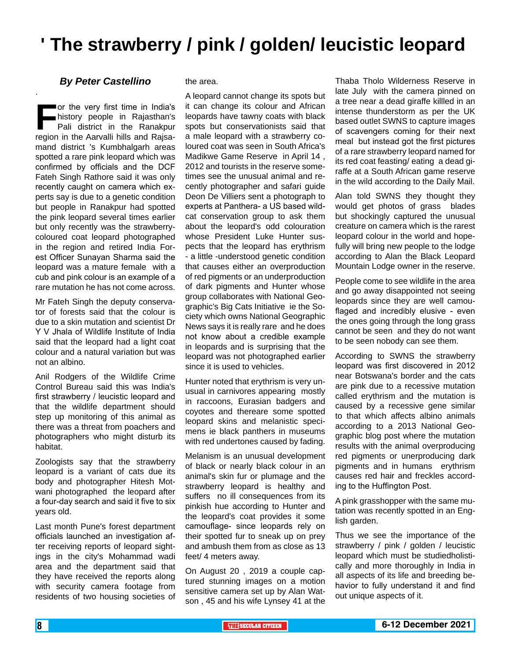## **' The strawberry / pink / golden/ leucistic leopard**

#### *By Peter Castellino*

.

**For the very first time in India's**<br> **Fali district in the Ranakpur<br>
region in the Aarvalli hills and Rajsa**history people in Rajasthan's Pali district in the Ranakpur mand district 's Kumbhalgarh areas spotted a rare pink leopard which was confirmed by officials and the DCF Fateh Singh Rathore said it was only recently caught on camera which experts say is due to a genetic condition but people in Ranakpur had spotted the pink leopard several times earlier but only recently was the strawberrycoloured coat leopard photographed in the region and retired India Forest Officer Sunayan Sharma said the leopard was a mature female with a cub and pink colour is an example of a rare mutation he has not come across.

Mr Fateh Singh the deputy conservator of forests said that the colour is due to a skin mutation and scientist Dr Y V Jhala of Wildlife Institute of India said that the leopard had a light coat colour and a natural variation but was not an albino.

Anil Rodgers of the Wildlife Crime Control Bureau said this was India's first strawberry / leucistic leopard and that the wildlife department should step up monitoring of this animal as there was a threat from poachers and photographers who might disturb its habitat.

Zoologists say that the strawberry leopard is a variant of cats due its body and photographer Hitesh Motwani photographed the leopard after a four-day search and said it five to six years old.

Last month Pune's forest department officials launched an investigation after receiving reports of leopard sightings in the city's Mohammad wadi area and the department said that they have received the reports along with security camera footage from residents of two housing societies of

#### the area.

A leopard cannot change its spots but it can change its colour and African leopards have tawny coats with black spots but conservationists said that a male leopard with a strawberry coloured coat was seen in South Africa's Madikwe Game Reserve in April 14 , 2012 and tourists in the reserve sometimes see the unusual animal and recently photographer and safari guide Deon De Villiers sent a photograph to experts at Panthera- a US based wildcat conservation group to ask them about the leopard's odd colouration whose President Luke Hunter suspects that the leopard has erythrism - a little -understood genetic condition that causes either an overproduction of red pigments or an underproduction of dark pigments and Hunter whose group collaborates with National Geographic's Big Cats Initiative ie the Society which owns National Geographic News says it is really rare and he does not know about a credible example in leopards and is surprising that the leopard was not photographed earlier since it is used to vehicles.

Hunter noted that erythrism is very unusual in carnivores appearing mostly in raccoons, Eurasian badgers and coyotes and thereare some spotted leopard skins and melanistic specimens ie black panthers in museums with red undertones caused by fading.

Melanism is an unusual development of black or nearly black colour in an animal's skin fur or plumage and the strawberry leopard is healthy and suffers no ill consequences from its pinkish hue according to Hunter and the leopard's coat provides it some camouflage- since leopards rely on their spotted fur to sneak up on prey and ambush them from as close as 13 feet/ 4 meters away.

On August 20 , 2019 a couple captured stunning images on a motion sensitive camera set up by Alan Watson , 45 and his wife Lynsey 41 at the

Thaba Tholo Wilderness Reserve in late July with the camera pinned on a tree near a dead giraffe killled in an intense thunderstorm as per the UK based outlet SWNS to capture images of scavengers coming for their next meal but instead got the first pictures of a rare strawberry leopard named for its red coat feasting/ eating a dead giraffe at a South African game reserve in the wild according to the Daily Mail.

Alan told SWNS they thought they would get photos of grass blades but shockingly captured the unusual creature on camera which is the rarest leopard colour in the world and hopefully will bring new people to the lodge according to Alan the Black Leopard Mountain Lodge owner in the reserve.

People come to see wildlife in the area and go away disappointed not seeing leopards since they are well camouflaged and incredibly elusive - even the ones going through the long grass cannot be seen and they do not want to be seen nobody can see them.

According to SWNS the strawberry leopard was first discovered in 2012 near Botswana's border and the cats are pink due to a recessive mutation called erythrism and the mutation is caused by a recessive gene similar to that which affects albino animals according to a 2013 National Geographic blog post where the mutation results with the animal overproducing red pigments or unerproducing dark pigments and in humans erythrism causes red hair and freckles according to the Huffington Post.

A pink grasshopper with the same mutation was recently spotted in an English garden.

Thus we see the importance of the strawberry / pink / golden / leucistic leopard which must be studiedholistically and more thoroughly in India in all aspects of its life and breeding behavior to fully understand it and find out unique aspects of it.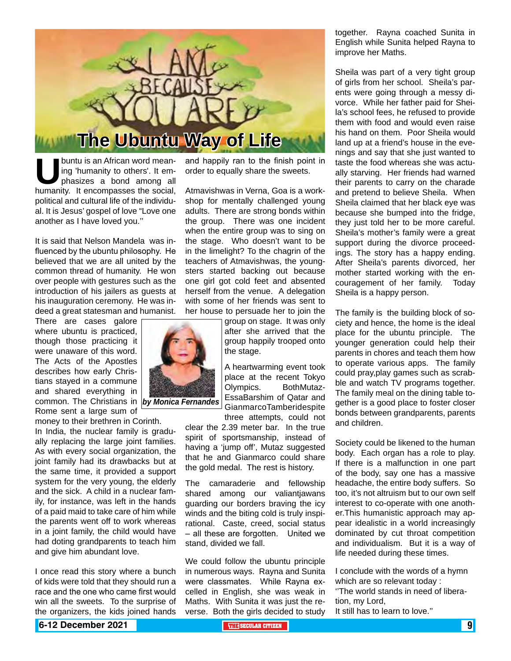

**U**buntu is an African word meaning 'humanity to others'. It emphasizes a bond among all humanity. It encompasses the social, ing 'humanity to others'. It emphasizes a bond among all political and cultural life of the individual. It is Jesus' gospel of love "Love one another as I have loved you.''

It is said that Nelson Mandela was influenced by the ubuntu philosophy. He believed that we are all united by the common thread of humanity. He won over people with gestures such as the introduction of his jailers as guests at his inauguration ceremony. He was indeed a great statesman and humanist.

There are cases galore where ubuntu is practiced, though those practicing it were unaware of this word. The Acts of the Apostles describes how early Christians stayed in a commune and shared everything in common. The Christians in *by Monica Fernandes* Rome sent a large sum of

money to their brethren in Corinth.

In India, the nuclear family is gradually replacing the large joint families. As with every social organization, the joint family had its drawbacks but at the same time, it provided a support system for the very young, the elderly and the sick. A child in a nuclear family, for instance, was left in the hands of a paid maid to take care of him while the parents went off to work whereas in a joint family, the child would have had doting grandparents to teach him and give him abundant love.

I once read this story where a bunch of kids were told that they should run a race and the one who came first would win all the sweets. To the surprise of the organizers, the kids joined hands

and happily ran to the finish point in order to equally share the sweets.

Atmavishwas in Verna, Goa is a workshop for mentally challenged young adults. There are strong bonds within the group. There was one incident when the entire group was to sing on the stage. Who doesn't want to be in the limelight? To the chagrin of the teachers of Atmavishwas, the youngsters started backing out because one girl got cold feet and absented herself from the venue. A delegation with some of her friends was sent to her house to persuade her to join the

> group on stage. It was only after she arrived that the group happily trooped onto the stage.

A heartwarming event took place at the recent Tokyo Olympics. BothMutaz-EssaBarshim of Qatar and GianmarcoTamberidespite

three attempts, could not clear the 2.39 meter bar. In the true spirit of sportsmanship, instead of having a 'jump off', Mutaz suggested that he and Gianmarco could share the gold medal. The rest is history.

The camaraderie and fellowship shared among our valiantjawans guarding our borders braving the icy winds and the biting cold is truly inspirational. Caste, creed, social status – all these are forgotten. United we stand, divided we fall.

We could follow the ubuntu principle in numerous ways. Rayna and Sunita were classmates. While Rayna excelled in English, she was weak in Maths. With Sunita it was just the reverse. Both the girls decided to study together. Rayna coached Sunita in English while Sunita helped Rayna to improve her Maths.

Sheila was part of a very tight group of girls from her school. Sheila's parents were going through a messy divorce. While her father paid for Sheila's school fees, he refused to provide them with food and would even raise his hand on them. Poor Sheila would land up at a friend's house in the evenings and say that she just wanted to taste the food whereas she was actually starving. Her friends had warned their parents to carry on the charade and pretend to believe Sheila. When Sheila claimed that her black eye was because she bumped into the fridge, they just told her to be more careful. Sheila's mother's family were a great support during the divorce proceedings. The story has a happy ending. After Sheila's parents divorced, her mother started working with the encouragement of her family. Today Sheila is a happy person.

The family is the building block of society and hence, the home is the ideal place for the ubuntu principle. The younger generation could help their parents in chores and teach them how to operate various apps. The family could pray,play games such as scrabble and watch TV programs together. The family meal on the dining table together is a good place to foster closer bonds between grandparents, parents and children.

Society could be likened to the human body. Each organ has a role to play. If there is a malfunction in one part of the body, say one has a massive headache, the entire body suffers. So too, it's not altruism but to our own self interest to co-operate with one another.This humanistic approach may appear idealistic in a world increasingly dominated by cut throat competition and individualism. But it is a way of life needed during these times.

I conclude with the words of a hymn which are so relevant today : ''The world stands in need of liberation, my Lord, It still has to learn to love.''

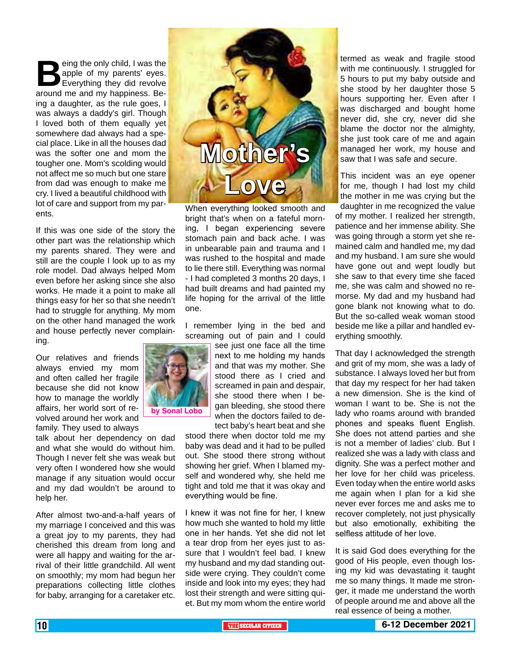eing the only child, I was the<br>apple of my parents' eyes.<br>Everything they did revolve<br>around me and my happiness. Beapple of my parents' eyes. Everything they did revolve around me and my happiness. Being a daughter, as the rule goes, I was always a daddy's girl. Though I loved both of them equally yet somewhere dad always had a special place. Like in all the houses dad was the softer one and mom the tougher one. Mom's scolding would not affect me so much but one stare from dad was enough to make me cry. I lived a beautiful childhood with lot of care and support from my parents.

If this was one side of the story the other part was the relationship which my parents shared. They were and still are the couple I look up to as my role model. Dad always helped Mom even before her asking since she also works. He made it a point to make all things easy for her so that she needn't had to struggle for anything. My mom on the other hand managed the work and house perfectly never complaining.

Our relatives and friends always envied my mom and often called her fragile because she did not know how to manage the worldly affairs, her world sort of revolved around her work and family. They used to always

talk about her dependency on dad and what she would do without him. Though I never felt she was weak but very often I wondered how she would manage if any situation would occur and my dad wouldn't be around to help her.

After almost two-and-a-half years of my marriage I conceived and this was a great joy to my parents, they had cherished this dream from long and were all happy and waiting for the arrival of their little grandchild. All went on smoothly; my mom had begun her preparations collecting little clothes for baby, arranging for a caretaker etc.



When everything looked smooth and bright that's when on a fateful morning, I began experiencing severe stomach pain and back ache. I was in unbearable pain and trauma and I was rushed to the hospital and made to lie there still. Everything was normal - I had completed 3 months 20 days, I had built dreams and had painted my life hoping for the arrival of the little one.

I remember lying in the bed and screaming out of pain and I could

see just one face all the time next to me holding my hands and that was my mother. She stood there as I cried and screamed in pain and despair, she stood there when I began bleeding, she stood there when the doctors failed to de-

> tect baby's heart beat and she stood there when doctor told me my baby was dead and it had to be pulled out. She stood there strong without showing her grief. When I blamed myself and wondered why, she held me tight and told me that it was okay and everything would be fine.

I knew it was not fine for her, I knew how much she wanted to hold my little one in her hands. Yet she did not let a tear drop from her eyes just to assure that I wouldn't feel bad. I knew my husband and my dad standing outside were crying. They couldn't come inside and look into my eyes; they had lost their strength and were sitting quiet. But my mom whom the entire world termed as weak and fragile stood with me continuously. I struggled for 5 hours to put my baby outside and she stood by her daughter those 5 hours supporting her. Even after I was discharged and bought home never did, she cry, never did she blame the doctor nor the almighty, she just took care of me and again managed her work, my house and saw that I was safe and secure.

This incident was an eye opener for me, though I had lost my child the mother in me was crying but the

daughter in me recognized the value of my mother. I realized her strength, patience and her immense ability. She was going through a storm yet she remained calm and handled me, my dad and my husband. I am sure she would have gone out and wept loudly but she saw to that every time she faced me, she was calm and showed no remorse. My dad and my husband had gone blank not knowing what to do. But the so-called weak woman stood beside me like a pillar and handled everything smoothly.

That day I acknowledged the strength and grit of my mom, she was a lady of substance. I always loved her but from that day my respect for her had taken a new dimension. She is the kind of woman I want to be. She is not the lady who roams around with branded phones and speaks fluent English. She does not attend parties and she is not a member of ladies' club. But I realized she was a lady with class and dignity. She was a perfect mother and her love for her child was priceless. Even today when the entire world asks me again when I plan for a kid she never ever forces me and asks me to recover completely, not just physically but also emotionally, exhibiting the selfless attitude of her love.

It is said God does everything for the good of His people, even though losing my kid was devastating it taught me so many things. It made me stronger, it made me understand the worth of people around me and above all the real essence of being a mother.

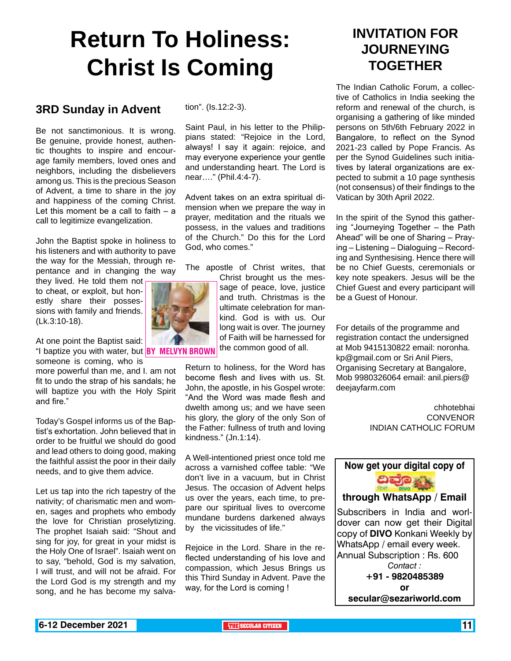## **Return To Holiness: Christ Is Coming**

#### **3RD Sunday in Advent**

Be not sanctimonious. It is wrong. Be genuine, provide honest, authentic thoughts to inspire and encourage family members, loved ones and neighbors, including the disbelievers among us. This is the precious Season of Advent, a time to share in the joy and happiness of the coming Christ. Let this moment be a call to faith  $-$  a call to legitimize evangelization.

John the Baptist spoke in holiness to his listeners and with authority to pave the way for the Messiah, through repentance and in changing the way

they lived. He told them not to cheat, or exploit, but honestly share their possessions with family and friends. (Lk.3:10-18).

At one point the Baptist said: "I baptize you with water, but **BY MELVYN BROWN** the common good of all.

someone is coming, who is more powerful than me, and I. am not fit to undo the strap of his sandals; he will baptize you with the Holy Spirit and fire."

Today's Gospel informs us of the Baptist's exhortation. John believed that in order to be fruitful we should do good and lead others to doing good, making the faithful assist the poor in their daily needs, and to give them advice.

Let us tap into the rich tapestry of the nativity; of charismatic men and women, sages and prophets who embody the love for Christian proselytizing. The prophet Isaiah said: "Shout and sing for joy, for great in your midst is the Holy One of Israel". Isaiah went on to say, "behold, God is my salvation, I will trust, and will not be afraid. For the Lord God is my strength and my song, and he has become my salvation". (Is.12:2-3).

Saint Paul, in his letter to the Philippians stated: "Rejoice in the Lord, always! I say it again: rejoice, and may everyone experience your gentle and understanding heart. The Lord is near…." (Phil.4:4-7).

Advent takes on an extra spiritual dimension when we prepare the way in prayer, meditation and the rituals we possess, in the values and traditions of the Church." Do this for the Lord God, who comes."

The apostle of Christ writes, that

Christ brought us the message of peace, love, justice and truth. Christmas is the ultimate celebration for mankind. God is with us. Our long wait is over. The journey of Faith will be harnessed for

Return to holiness, for the Word has become flesh and lives with us. St. John, the apostle, in his Gospel wrote: "And the Word was made flesh and dwelth among us; and we have seen his glory, the glory of the only Son of the Father: fullness of truth and loving kindness." (Jn.1:14).

A Well-intentioned priest once told me across a varnished coffee table: "We don't live in a vacuum, but in Christ Jesus. The occasion of Advent helps us over the years, each time, to prepare our spiritual lives to overcome mundane burdens darkened always by the vicissitudes of life."

Rejoice in the Lord. Share in the reflected understanding of his love and compassion, which Jesus Brings us this Third Sunday in Advent. Pave the way, for the Lord is coming !

### **INVITATION FOR JOURNEYING TOGETHER**

The Indian Catholic Forum, a collective of Catholics in India seeking the reform and renewal of the church, is organising a gathering of like minded persons on 5th/6th February 2022 in Bangalore, to reflect on the Synod 2021-23 called by Pope Francis. As per the Synod Guidelines such initiatives by lateral organizations are expected to submit a 10 page synthesis (not consensus) of their findings to the Vatican by 30th April 2022.

In the spirit of the Synod this gathering "Journeying Together – the Path Ahead" will be one of Sharing – Praying – Listening – Dialoguing – Recording and Synthesising. Hence there will be no Chief Guests, ceremonials or key note speakers. Jesus will be the Chief Guest and every participant will be a Guest of Honour.

For details of the programme and registration contact the undersigned at Mob 9415130822 email: noronha. kp@gmail.com or Sri Anil Piers, Organising Secretary at Bangalore, Mob 9980326064 email: anil.piers@ deejayfarm.com

> chhotebhai **CONVENOR** INDIAN CATHOLIC FORUM



**through WhatsApp / Email**

Subscribers in India and worldover can now get their Digital copy of **DIVO** Konkani Weekly by WhatsApp / email every week. Annual Subscription : Rs. 600 *Contact :* **+91 - 9820485389 or secular@sezariworld.com**

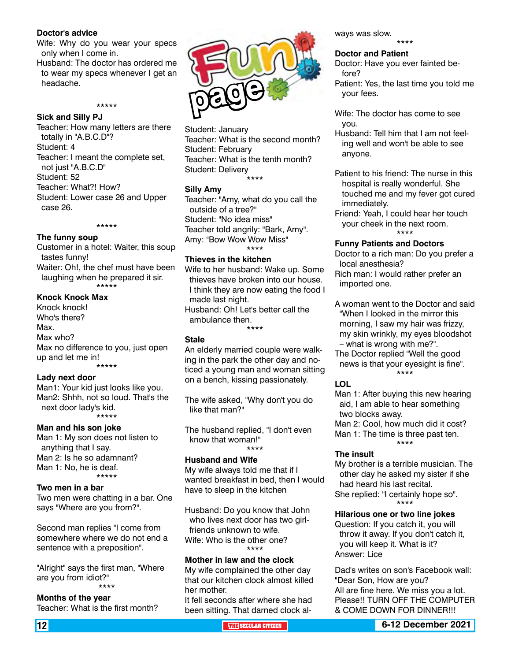#### **Doctor's advice**

Wife: Why do you wear your specs only when I come in.

Husband: The doctor has ordered me to wear my specs whenever I get an headache.

\*\*\*\*\*

#### **Sick and Silly PJ**

Teacher: How many letters are there totally in "A.B.C.D"? Student: 4 Teacher: I meant the complete set, not just "A.B.C.D" Student: 52 Teacher: What?! How? Student: Lower case 26 and Upper case 26.

#### \*\*\*\*\*

#### **The funny soup**

Customer in a hotel: Waiter, this soup tastes funny! Waiter: Oh!, the chef must have been

laughing when he prepared it sir. \*\*\*\*\*

#### **Knock Knock Max**

Knock knock! Who's there? Max. Max who? Max no difference to you, just open up and let me in! \*\*\*\*\*

#### **Lady next door**

Man1: Your kid just looks like you. Man2: Shhh, not so loud. That's the next door lady's kid. \*\*\*\*\*

#### **Man and his son joke**

Man 1: My son does not listen to anything that I say. Man 2: Is he so adamnant? Man 1: No, he is deaf. \*\*\*\*\*

#### **Two men in a bar**

Two men were chatting in a bar. One says "Where are you from?".

Second man replies "I come from somewhere where we do not end a sentence with a preposition".

"Alright" says the first man, "Where are you from idiot?" \*\*\*\*

**Months of the year** Teacher: What is the first month?



Student: January Teacher: What is the second month? Student: February Teacher: What is the tenth month? Student: Delivery \*\*\*\*

#### **Silly Amy**

Teacher: "Amy, what do you call the outside of a tree?" Student: "No idea miss" Teacher told angrily: "Bark, Amy". Amy: "Bow Wow Wow Miss" \*\*\*\*

#### **Thieves in the kitchen**

Wife to her husband: Wake up. Some thieves have broken into our house. I think they are now eating the food I made last night. Husband: Oh! Let's better call the ambulance then.

\*\*\*\*

#### **Stale**

An elderly married couple were walking in the park the other day and noticed a young man and woman sitting on a bench, kissing passionately.

The wife asked, "Why don't you do like that man?"

The husband replied, "I don't even know that woman!" \*\*\*\*

#### **Husband and Wife**

My wife always told me that if I wanted breakfast in bed, then I would have to sleep in the kitchen

Husband: Do you know that John who lives next door has two girlfriends unknown to wife. Wife: Who is the other one? \*\*\*\*

#### **Mother in law and the clock**

My wife complained the other day that our kitchen clock almost killed her mother.

It fell seconds after where she had been sitting. That darned clock always was slow.

#### **Doctor and Patient**

Doctor: Have you ever fainted before?

Patient: Yes, the last time you told me your fees.

\*\*\*\*

Wife: The doctor has come to see you.

Husband: Tell him that I am not feeling well and won't be able to see anyone.

Patient to his friend: The nurse in this hospital is really wonderful. She touched me and my fever got cured immediately.

Friend: Yeah, I could hear her touch your cheek in the next room. \*\*\*\*

#### **Funny Patients and Doctors**

Doctor to a rich man: Do you prefer a local anesthesia?

Rich man: I would rather prefer an imported one.

A woman went to the Doctor and said "When I looked in the mirror this morning, I saw my hair was frizzy, my skin wrinkly, my eyes bloodshot – what is wrong with me?".

The Doctor replied "Well the good news is that your eyesight is fine". \*\*\*\*

#### **LOL**

Man 1: After buying this new hearing aid, I am able to hear something two blocks away.

Man 2: Cool, how much did it cost? Man 1: The time is three past ten. \*\*\*\*

#### **The insult**

My brother is a terrible musician. The other day he asked my sister if she had heard his last recital. She replied: "I certainly hope so". \*\*\*\*

#### **Hilarious one or two line jokes**

Question: If you catch it, you will throw it away. If you don't catch it, you will keep it. What is it? Answer: Lice

Dad's writes on son's Facebook wall: "Dear Son, How are you? All are fine here. We miss you a lot. Please!! TURN OFF THE COMPUTER & COME DOWN FOR DINNER!!!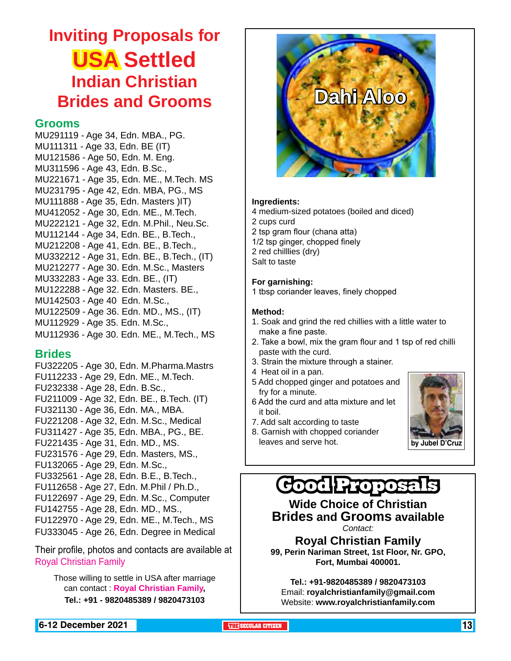## **Inviting Proposals for USA Settled Indian Christian Brides and Grooms**

#### **Grooms**

MU291119 - Age 34, Edn. MBA., PG. MU111311 - Age 33, Edn. BE (IT) MU121586 - Age 50, Edn. M. Eng. MU311596 - Age 43, Edn. B.Sc., MU221671 - Age 35, Edn. ME., M.Tech. MS MU231795 - Age 42, Edn. MBA, PG., MS MU111888 - Age 35, Edn. Masters )IT) MU412052 - Age 30, Edn. ME., M.Tech. MU222121 - Age 32, Edn. M.Phil., Neu.Sc. MU112144 - Age 34, Edn. BE., B.Tech., MU212208 - Age 41, Edn. BE., B.Tech., MU332212 - Age 31, Edn. BE., B.Tech., (IT) MU212277 - Age 30. Edn. M.Sc., Masters MU332283 - Age 33. Edn. BE., (IT) MU122288 - Age 32. Edn. Masters. BE., MU142503 - Age 40 Edn. M.Sc., MU122509 - Age 36. Edn. MD., MS., (IT) MU112929 - Age 35. Edn. M.Sc., MU112936 - Age 30. Edn. ME., M.Tech., MS

#### **Brides**

FU322205 - Age 30, Edn. M.Pharma.Mastrs FU112233 - Age 29, Edn. ME., M.Tech. FU232338 - Age 28, Edn. B.Sc., FU211009 - Age 32, Edn. BE., B.Tech. (IT) FU321130 - Age 36, Edn. MA., MBA. FU221208 - Age 32, Edn. M.Sc., Medical FU311427 - Age 35, Edn. MBA., PG., BE. FU221435 - Age 31, Edn. MD., MS. FU231576 - Age 29, Edn. Masters, MS., FU132065 - Age 29, Edn. M.Sc., FU332561 - Age 28, Edn. B.E., B.Tech., FU112658 - Age 27, Edn. M.Phil / Ph.D., FU122697 - Age 29, Edn. M.Sc., Computer FU142755 - Age 28, Edn. MD., MS., FU122970 - Age 29, Edn. ME., M.Tech., MS FU333045 - Age 26, Edn. Degree in Medical

Their profile, photos and contacts are available at Royal Christian Family

Those willing to settle in USA after marriage can contact : **Royal Christian Family, Tel.: +91 - 9820485389 / 9820473103**



#### **Ingredients:**

4 medium-sized potatoes (boiled and diced) 2 cups curd 2 tsp gram flour (chana atta) 1/2 tsp ginger, chopped finely 2 red chilllies (dry) Salt to taste

#### **For garnishing:**

1 tbsp coriander leaves, finely chopped

#### **Method:**

- 1. Soak and grind the red chillies with a little water to make a fine paste.
- 2. Take a bowl, mix the gram flour and 1 tsp of red chilli paste with the curd.
- 3. Strain the mixture through a stainer.
- 4 Heat oil in a pan.
- 5 Add chopped ginger and potatoes and fry for a minute.
- 6 Add the curd and atta mixture and let it boil.
- 7. Add salt according to taste
- 8. Garnish with chopped coriander
- leaves and serve hot. **by Jubel D'Cruz**



## **Good Proposals**

**Wide Choice of Christian Brides and Grooms available** *Contact:*

**Royal Christian Family 99, Perin Nariman Street, 1st Floor, Nr. GPO, Fort, Mumbai 400001.** 

**Tel.: +91-9820485389 / 9820473103** Email: **royalchristianfamily@gmail.com** Website: **www.royalchristianfamily.com**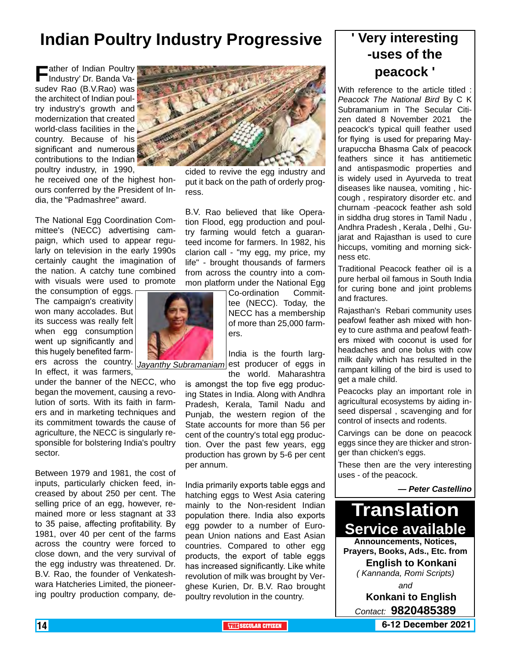## **Indian Poultry Industry Progressive**

**F**ather of Indian Poultry Industry' Dr. Banda Vasudev Rao (B.V.Rao) was the architect of Indian poultry industry's growth and modernization that created world-class facilities in the country. Because of his significant and numerous contributions to the Indian poultry industry, in 1990,

he received one of the highest honours conferred by the President of India, the "Padmashree" award.

The National Egg Coordination Committee's (NECC) advertising campaign, which used to appear regularly on television in the early 1990s certainly caught the imagination of the nation. A catchy tune combined with visuals were used to promote

the consumption of eggs. The campaign's creativity won many accolades. But its success was really felt when egg consumption went up significantly and this hugely benefited farm-

In effect, it was farmers, under the banner of the NECC, who began the movement, causing a revolution of sorts. With its faith in farmers and in marketing techniques and its commitment towards the cause of agriculture, the NECC is singularly responsible for bolstering India's poultry sector.

Between 1979 and 1981, the cost of inputs, particularly chicken feed, increased by about 250 per cent. The selling price of an egg, however, remained more or less stagnant at 33 to 35 paise, affecting profitability. By 1981, over 40 per cent of the farms across the country were forced to close down, and the very survival of the egg industry was threatened. Dr. B.V. Rao, the founder of Venkateshwara Hatcheries Limited, the pioneering poultry production company, de-



cided to revive the egg industry and put it back on the path of orderly progress.

B.V. Rao believed that like Operation Flood, egg production and poultry farming would fetch a guaranteed income for farmers. In 1982, his clarion call - "my egg, my price, my life" - brought thousands of farmers from across the country into a common platform under the National Egg

> Co-ordination Committee (NECC). Today, the NECC has a membership of more than 25,000 farmers.

ers across the country. *Jayanthy Subramaniam* est producer of eggs in India is the fourth larg-

the world. Maharashtra is amongst the top five egg producing States in India. Along with Andhra Pradesh, Kerala, Tamil Nadu and Punjab, the western region of the State accounts for more than 56 per cent of the country's total egg production. Over the past few years, egg production has grown by 5-6 per cent per annum.

India primarily exports table eggs and hatching eggs to West Asia catering mainly to the Non-resident Indian population there. India also exports egg powder to a number of European Union nations and East Asian countries. Compared to other egg products, the export of table eggs has increased significantly. Like white revolution of milk was brought by Verghese Kurien, Dr. B.V. Rao brought poultry revolution in the country.

### **' Very interesting -uses of the peacock '**

With reference to the article titled : *Peacock The National Bird* By C K Subramanium in The Secular Citizen dated 8 November 2021 the peacock's typical quill feather used for flying is used for preparing Mayurapuccha Bhasma Calx of peacock feathers since it has antitiemetic and antispasmodic properties and is widely used in Ayurveda to treat diseases like nausea, vomiting , hiccough , respiratory disorder etc. and churnam -peacock feather ash sold in siddha drug stores in Tamil Nadu , Andhra Pradesh , Kerala , Delhi , Gujarat and Rajasthan is used to cure hiccups, vomiting and morning sickness etc.

Traditional Peacock feather oil is a pure herbal oil famous in South India for curing bone and joint problems and fractures.

Rajasthan's Rebari community uses peafowl feather ash mixed with honey to cure asthma and peafowl feathers mixed with coconut is used for headaches and one bolus with cow milk daily which has resulted in the rampant killing of the bird is used to get a male child.

Peacocks play an important role in agricultural ecosystems by aiding inseed dispersal , scavenging and for control of insects and rodents.

Carvings can be done on peacock eggs since they are thicker and stronger than chicken's eggs.

These then are the very interesting uses - of the peacock.

#### *— Peter Castellino*



*( Kannanda, Romi Scripts)*

*and*

**Konkani to English** *Contact:* **9820485389**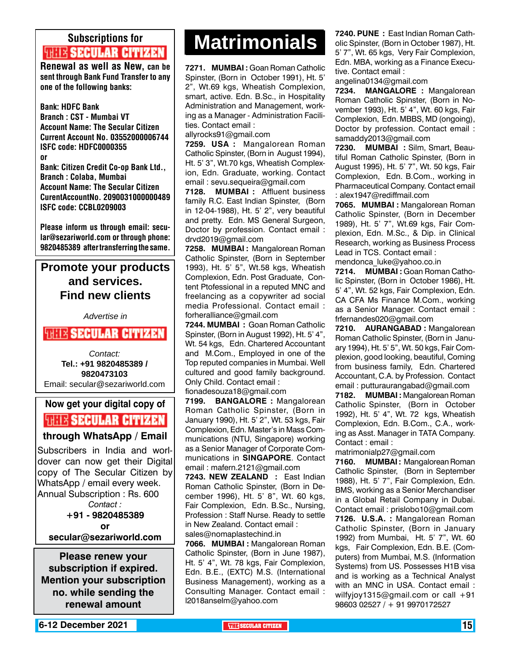## Subscriptions for **THIE SECULAR CITIZEN**<br>Renewal as well as New, can be

sent through Bank Fund Transfer to any one of the following banks:

Bank: HDFC Bank Branch : CST - Mumbai VT Account Name: The Secular Citizen Current Account No. 03552000006744 ISFC code: HDFC0000355 or Bank: Citizen Credit Co-op Bank Ltd., Branch : Colaba, Mumbai Account Name: The Secular Citizen CurentAccountNo. 2090031000000489 ISFC code: CCBL0209003

Please inform us through email: secular@sezariworld.com or through phone: 9820485389 after transferring the same.

### **Promote your products and services. Find new clients**

*Advertise in*

#### **WHIS SECULAR CITIZEN**

*Contact:* **Tel.: +91 9820485389 / 9820473103** Email: secular@sezariworld.com

### **Now get your digital copy of THIS SECULAR CITIZEN**

#### **through WhatsApp / Email**

Subscribers in India and worldover can now get their Digital copy of The Secular Citizen by WhatsApp / email every week. Annual Subscription : Rs. 600 *Contact :* **+91 - 9820485389 or secular@sezariworld.com**

**Please renew your subscription if expired. Mention your subscription no. while sending the renewal amount**

## **Matrimonials Matrimonials**

**7271. MUMBAI :** Goan Roman Catholic Spinster, (Born in October 1991), Ht. 5' 2", Wt.69 kgs, Wheatish Complexion, smart, active. Edn. B.Sc., in Hospitality Administration and Management, working as a Manager - Administration Facilities. Contact email :

allyrocks91@gmail.com

**7259. USA :** Mangalorean Roman Catholic Spinster, (Born in August 1994), Ht. 5' 3", Wt.70 kgs, Wheatish Complexion, Edn. Graduate, working. Contact email : sevu.sequeira@gmail.com

**7128. MUMBAI :** Affluent business family R.C. East Indian Spinster, (Born in 12-04-1988), Ht. 5' 2", very beautiful and pretty. Edn. MS General Surgeon, Doctor by profession. Contact email : drvd2019@gmail.com

**7258. MUMBAI :** Mangalorean Roman Catholic Spinster, (Born in September 1993), Ht. 5' 5", Wt.58 kgs, Wheatish Complexion, Edn. Post Graduate, Content Ptofessional in a reputed MNC and freelancing as a copywriter ad social media Professional. Contact email : forheralliance@gmail.com

**7244. MUMBAI :** Goan Roman Catholic Spinster, (Born in August 1992), Ht. 5' 4", Wt. 54 kgs, Edn. Chartered Accountant and M.Com., Employed in one of the Top reputed companies in Mumbai. Well cultured and good family background. Only Child. Contact email :

fionadesouza18@gmail.com

**7199. BANGALORE :** Mangalorean Roman Catholic Spinster, (Born in January 1990), Ht. 5' 2", Wt. 53 kgs, Fair Complexion, Edn. Master's in Mass Communications (NTU, Singapore) working as a Senior Manager of Corporate Communications in **SINGAPORE**. Contact email : mafern.2121@gmail.com

**7243. NEW ZEALAND :** East Indian Roman Catholic Spinster, (Born in December 1996), Ht. 5' 8", Wt. 60 kgs, Fair Complexion, Edn. B.Sc., Nursing, Profession : Staff Nurse. Ready to settle in New Zealand. Contact email : sales@nomaplastechind.in

**7066. MUMBAI :** Mangalorean Roman Catholic Spinster, (Born in June 1987), Ht. 5' 4", Wt. 78 kgs, Fair Complexion, Edn. B.E., (EXTC) M.S. (International Business Management), working as a Consulting Manager. Contact email : l2018anselm@yahoo.com

**7240. PUNE :** East Indian Roman Catholic Spinster, (Born in October 1987), Ht. 5' 7", Wt. 65 kgs, Very Fair Complexion, Edn. MBA, working as a Finance Executive. Contact email :

angelina0134@gmail.com

**7234. MANGALORE :** Mangalorean Roman Catholic Spinster, (Born in November 1993), Ht. 5' 4", Wt. 60 kgs, Fair Complexion, Edn. MBBS, MD (ongoing), Doctor by profession. Contact email : samaddy2013@gmail.com

**7230. MUMBAI :** Silm, Smart, Beautiful Roman Catholic Spinster, (Born in August 1995), Ht. 5' 7", Wt. 50 kgs, Fair Complexion, Edn. B.Com., working in Pharmaceutical Company. Contact email : alex1947@rediffmail.com

**7065. MUMBAI :** Mangalorean Roman Catholic Spinster, (Born in December 1989), Ht. 5' 7", Wt.69 kgs, Fair Complexion, Edn. M.Sc., & Dip. in Clinical Research, working as Business Process Lead in TCS. Contact email :

mendonca\_luke@yahoo.co.in **7214. MUMBAI :** Goan Roman Catholic Spinster, (Born in October 1986), Ht. 5' 4", Wt. 52 kgs, Fair Complexion, Edn. CA CFA Ms Finance M.Com., working as a Senior Manager. Contact email : frfernandes020@gmail.com

**7210. AURANGABAD :** Mangalorean Roman Catholic Spinster, (Born in January 1994), Ht. 5' 5", Wt. 50 kgs, Fair Complexion, good looking, beautiful, Coming from business family, Edn. Chartered Accountant, C.A. by Profession. Contact email : putturaurangabad@gmail.com

**7182. MUMBAI :** Mangalorean Roman Catholic Spinster, (Born in October 1992), Ht. 5' 4", Wt. 72 kgs, Wheatish Complexion, Edn. B.Com., C.A., working as Asst. Manager in TATA Company. Contact : email :

matrimonialp27@gmail.com

**7160. MUMBAI :** Mangalorean Roman Catholic Spinster, (Born in September 1988), Ht. 5' 7", Fair Complexion, Edn. BMS, working as a Senior Merchandiser in a Global Retail Company in Dubai. Contact email : prislobo10@gmail.com **7126. U.S.A. :** Mangalorean Roman Catholic Spinster, (Born in January 1992) from Mumbai, Ht. 5' 7", Wt. 60 kgs, Fair Complexion, Edn. B.E. (Computers) from Mumbai, M.S. (Information Systems) from US. Possesses H1B visa and is working as a Technical Analyst with an MNC in USA. Contact email : wilfyjoy1315@gmail.com or call +91 98603 02527 / + 91 9970172527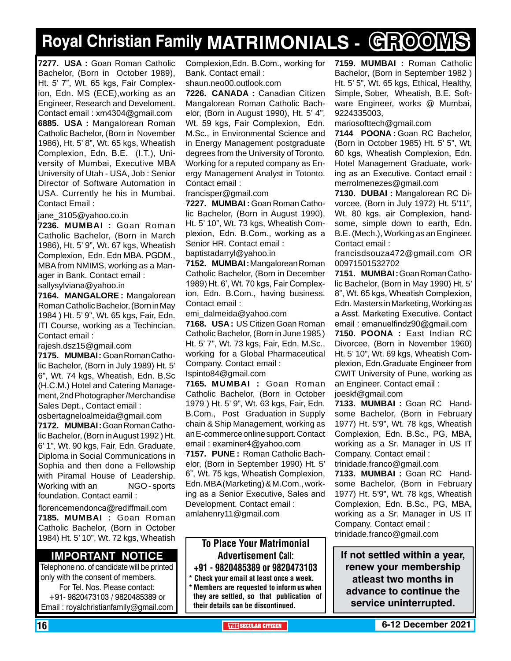## **Royal Christian Family MATRIMONIALS - GROOMS**

**7277. USA :** Goan Roman Catholic Bachelor, (Born in October 1989), Ht. 5' 7", Wt. 65 kgs, Fair Complexion, Edn. MS (ECE),working as an Engineer, Research and Develoment. Contact email : xm4304@gmail.com **6885. USA :** Mangalorean Roman Catholic Bachelor, (Born in November 1986), Ht. 5' 8", Wt. 65 kgs, Wheatish Complexion, Edn. B.E. (I.T.), University of Mumbai, Executive MBA University of Utah - USA, Job : Senior Director of Software Automation in USA. Currently he his in Mumbai. Contact Email :

jane\_3105@yahoo.co.in

**7236. MUMBAI :** Goan Roman Catholic Bachelor, (Born in March 1986), Ht. 5' 9", Wt. 67 kgs, Wheatish Complexion, Edn. Edn MBA. PGDM., MBA from NMIMS, working as a Manager in Bank. Contact email : sallysylviana@yahoo.in

**7164. MANGALORE :** Mangalorean Roman Catholic Bachelor, (Born in May 1984 ) Ht. 5' 9", Wt. 65 kgs, Fair, Edn. ITI Course, working as a Techincian. Contact email :

rajesh.dsz15@gmail.com

**7175. MUMBAI :** Goan Roman Catholic Bachelor, (Born in July 1989) Ht. 5' 6", Wt. 74 kgs, Wheatish, Edn. B.Sc (H.C.M.) Hotel and Catering Management, 2nd Photographer /Merchandise Sales Dept., Contact email :

osbertagneloalmeida@gmail.com **7172. MUMBAI :** Goan Roman Catholic Bachelor, (Born in August 1992 ) Ht. 6' 1", Wt. 90 kgs, Fair, Edn. Graduate, Diploma in Social Communications in Sophia and then done a Fellowship with Piramal House of Leadership. Working with an MGO - sports foundation. Contact eamil :

florencemendonca@rediffmail.com **7185. MUMBAI :** Goan Roman Catholic Bachelor, (Born in October 1984) Ht. 5' 10", Wt. 72 kgs, Wheatish

#### **Important Notice**

Telephone no. of candidate will be printed only with the consent of members. For Tel. Nos. Please contact: +91- 9820473103 / 9820485389 or Email : royalchristianfamily@gmail.com

Complexion,Edn. B.Com., working for Bank. Contact email :

shaun.neo00.outlook.com

**7226. CANADA :** Canadian Citizen Mangalorean Roman Catholic Bachelor, (Born in August 1990), Ht. 5' 4", Wt. 59 kgs, Fair Complexion, Edn. M.Sc., in Environmental Science and in Energy Management postgraduate degrees from the University of Toronto. Working for a reputed company as Energy Management Analyst in Totonto. Contact email :

francisper@gmail.com

**7227. MUMBAI :** Goan Roman Catholic Bachelor, (Born in August 1990), Ht. 5' 10", Wt. 73 kgs, Wheatish Complexion, Edn. B.Com., working as a Senior HR. Contact email :

baptistadarryl@yahoo.in

**7152. MUMBAI :** Mangalorean Roman Catholic Bachelor, (Born in December 1989) Ht. 6', Wt. 70 kgs, Fair Complexion, Edn. B.Com., having business. Contact email :

emi\_dalmeida@yahoo.com

**7168. USA :** US Citizen Goan Roman Catholic Bachelor, (Born in June 1985 ) Ht. 5' 7", Wt. 73 kgs, Fair, Edn. M.Sc., working for a Global Pharmaceutical Company. Contact email :

Ispinto84@gmail.com

**7165. MUMBAI :** Goan Roman Catholic Bachelor, (Born in October 1979 ) Ht. 5' 9", Wt. 63 kgs, Fair, Edn. B.Com., Post Graduation in Supply chain & Ship Management, working as an E-commerce online support. Contact email : examiner4@yahoo.com

**7157. PUNE :** Roman Catholic Bachelor, (Born in September 1990) Ht. 5' 6", Wt. 75 kgs, Wheatish Complexion, Edn. MBA (Marketing) & M.Com., working as a Senior Executive, Sales and Development. Contact email : amlahenry11@gmail.com

#### To Place Your Matrimonial Advertisement Call: +91 - 9820485389 or 9820473103

\* Check your email at least once a week. \* Members are requested to inform us when they are settled, so that publication of their details can be discontinued.

**7159. MUMBAI :** Roman Catholic Bachelor, (Born in September 1982 ) Ht. 5' 5", Wt. 65 kgs, Ethical, Healthy, Simple, Sober, Wheatish, B.E. Software Engineer, works @ Mumbai, 9224335003,

mariosofttech@gmail.com

**7144 POONA :** Goan RC Bachelor, (Born in October 1985) Ht. 5' 5", Wt. 60 kgs, Wheatish Complexion, Edn. Hotel Management Graduate, working as an Executive. Contact email : merrolmenezes@gmail.com

**7130. DUBAI :** Mangalorean RC Divorcee, (Born in July 1972) Ht. 5'11", Wt. 80 kgs, air Complexion, handsome, simple down to earth, Edn. B.E. (Mech.), Working as an Engineer. Contact email :

francisdsouza472@gmail.com OR 00971501532702

**7151. MUMBAI :** Goan Roman Catholic Bachelor, (Born in May 1990) Ht. 5' 8", Wt. 65 kgs, Wheatish Complexion, Edn. Masters in Marketing, Working as a Asst. Marketing Executive. Contact email : emanuelfindz90@gmail.com

**7150. POONA :** East Indian RC Divorcee, (Born in November 1960) Ht. 5' 10", Wt. 69 kgs, Wheatish Complexion, Edn.Graduate Engineer from CWIT University of Pune, working as an Engineer. Contact email : joeskf@gmail.com

**7133. MUMBAI :** Goan RC Handsome Bachelor, (Born in February 1977) Ht. 5'9", Wt. 78 kgs, Wheatish Complexion, Edn. B.Sc., PG, MBA, working as a Sr. Manager in US IT Company. Contact email : trinidade.franco@gmail.com

**7133. MUMBAI :** Goan RC Handsome Bachelor, (Born in February 1977) Ht. 5'9", Wt. 78 kgs, Wheatish Complexion, Edn. B.Sc., PG, MBA, working as a Sr. Manager in US IT Company. Contact email : trinidade.franco@gmail.com

**If not settled within a year, renew your membership atleast two months in advance to continue the service uninterrupted.**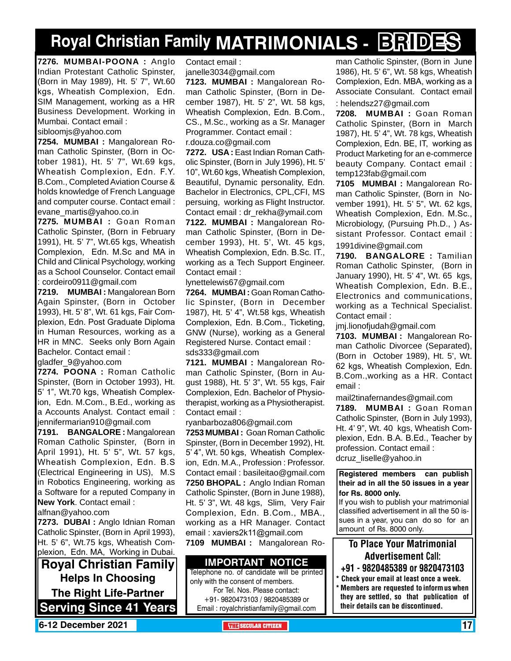## **Royal Christian Family MATRIMONIALS - BRIDES**

**7276. MUMBAI-POONA :** Anglo Indian Protestant Catholic Spinster, (Born in May 1989), Ht. 5' 7", Wt.60 kgs, Wheatish Complexion, Edn. SIM Management, working as a HR Business Development. Working in Mumbai. Contact email :

sibloomjs@yahoo.com

**7254. MUMBAI :** Mangalorean Roman Catholic Spinster, (Born in October 1981), Ht. 5' 7", Wt.69 kgs, Wheatish Complexion, Edn. F.Y. B.Com., Completed Aviation Course & holds knowledge of French Language and computer course. Contact email : evane\_martis@yahoo.co.in

**7275. MUMBAI :** Goan Roman Catholic Spinster, (Born in February 1991), Ht. 5' 7", Wt.65 kgs, Wheatish Complexion, Edn. M.Sc and MA in Child and Clinical Psychology, working as a School Counselor. Contact email : cordeiro0911@gmail.com

**7219. MUMBAI :** Mangalorean Born Again Spinster, (Born in October 1993), Ht. 5' 8", Wt. 61 kgs, Fair Complexion, Edn. Post Graduate Diploma in Human Resources, working as a HR in MNC. Seeks only Born Again Bachelor. Contact email :

gladfer\_9@yahoo.com

**7274. POONA :** Roman Catholic Spinster, (Born in October 1993), Ht. 5' 1", Wt.70 kgs, Wheatish Complexion, Edn. M.Com., B.Ed., working as a Accounts Analyst. Contact email : jennifermarian910@gmail.com

**7191. BANGALORE :** Mangalorean Roman Catholic Spinster, (Born in April 1991), Ht. 5' 5", Wt. 57 kgs, Wheatish Complexion, Edn. B.S (Electrical Engineering in US), M.S in Robotics Engineering, working as a Software for a reputed Company in **New York**. Contact email :

alfnan@yahoo.com

**7273. DUBAI :** Anglo Idnian Roman Catholic Spinster, (Born in April 1993), Ht. 5' 6", Wt.75 kgs, Wheatish Complexion, Edn. MA, Working in Dubai.

**Royal Christian Family Helps In Choosing The Right Life-Partner Serving Since 41 Years** Contact email :

janelle3034@gmail.com

**7123. MUMBAI :** Mangalorean Roman Catholic Spinster, (Born in December 1987), Ht. 5' 2", Wt. 58 kgs, Wheatish Complexion, Edn. B.Com., CS., M.Sc., working as a Sr. Manager Programmer. Contact email : r.douza.co@gmail.com

**7272. USA :** East Indian Roman Catholic Spinster, (Born in July 1996), Ht. 5' 10", Wt.60 kgs, Wheatish Complexion, Beautiful, Dynamic personality, Edn. Bachelor in Electronics, CPL,CFI, MS persuing, working as Flight Instructor. Contact email : dr\_rekha@ymail.com **7122. MUMBAI :** Mangalorean Roman Catholic Spinster, (Born in December 1993), Ht. 5', Wt. 45 kgs, Wheatish Complexion, Edn. B.Sc. IT., working as a Tech Support Engineer. Contact email :

lynettelewis67@gmail.com

**7264. MUMBAI :** Goan Roman Catholic Spinster, (Born in December 1987), Ht. 5' 4", Wt.58 kgs, Wheatish Complexion, Edn. B.Com., Ticketing, GNW (Nurse), working as a General Registered Nurse. Contact email : sds333@gmail.com

**7121. MUMBAI :** Mangalorean Roman Catholic Spinster, (Born in August 1988), Ht. 5' 3", Wt. 55 kgs, Fair Complexion, Edn. Bachelor of Physiotherapist, working as a Physiotherapist. Contact email :

ryanbarboza806@gmail.com

**7253 MUMBAI :** Goan Roman Catholic Spinster, (Born in December 1992), Ht. 5' 4", Wt. 50 kgs, Wheatish Complexion, Edn. M.A., Profession : Professor. Contact email : basileitao@gmail.com **7250 BHOPAL :** Anglo Indian Roman Catholic Spinster, (Born in June 1988), Ht. 5' 3", Wt. 48 kgs, Slim, Very Fair Complexion, Edn. B.Com., MBA., working as a HR Manager. Contact email : xaviers2k11@gmail.com

**7109 MUMBAI :** Mangalorean Ro-

#### **Important Notice**

Telephone no. of candidate will be printed only with the consent of members. For Tel. Nos. Please contact: +91- 9820473103 / 9820485389 or Email : royalchristianfamily@gmail.com

man Catholic Spinster, (Born in June 1986), Ht. 5' 6", Wt. 58 kgs, Wheatish Complexion, Edn. MBA, working as a Associate Consulant. Contact email : helendsz27@gmail.com

**7208. MUMBAI :** Goan Roman Catholic Spinster, (Born in March 1987), Ht. 5' 4", Wt. 78 kgs, Wheatish Complexion, Edn. BE, IT, working as Product Marketing for an e-commerce beauty Company. Contact email : temp123fab@gmail.com

**7105 MUMBAI :** Mangalorean Roman Catholic Spinster, (Born in November 1991), Ht. 5' 5", Wt. 62 kgs, Wheatish Complexion, Edn. M.Sc., Microbiology, (Pursuing Ph.D., ) Assistant Professor. Contact email : 1991divine@gmail.com

**7190. BANGALORE :** Tamilian Roman Catholic Spinster, (Born in January 1990), Ht. 5' 4", Wt. 65 kgs, Wheatish Complexion, Edn. B.E., Electronics and communications, working as a Technical Specialist. Contact email :

jmj.lionofjudah@gmail.com

**7103. MUMBAI :** Mangalorean Roman Catholic Divorcee (Separated), (Born in October 1989), Ht. 5', Wt. 62 kgs, Wheatish Complexion, Edn. B.Com.,working as a HR. Contact email :

mail2tinafernandes@gmail.com **7189. MUMBAI :** Goan Roman Catholic Spinster, (Born in July 1993), Ht. 4' 9", Wt. 40 kgs, Wheatish Complexion, Edn. B.A. B.Ed., Teacher by profession. Contact email : dcruz\_liselle@yahoo.in

**Registered members can publish their ad in all the 50 issues in a year for Rs. 8000 only.**

If you wish to publish your matrimonial classified advertisement in all the 50 issues in a year, you can do so for an amount of Rs. 8000 only.

### To Place Your Matrimonial Advertisement Call:

- +91 9820485389 or 9820473103
- \* Check your email at least once a week. \* Members are requested to inform us when they are settled, so that publication of their details can be discontinued.

**6-12 December 2021 The City of the SECULAR CITIZEN THE** SECULAR CITIZEN **17 THE** SECULAR CITIZEN **17**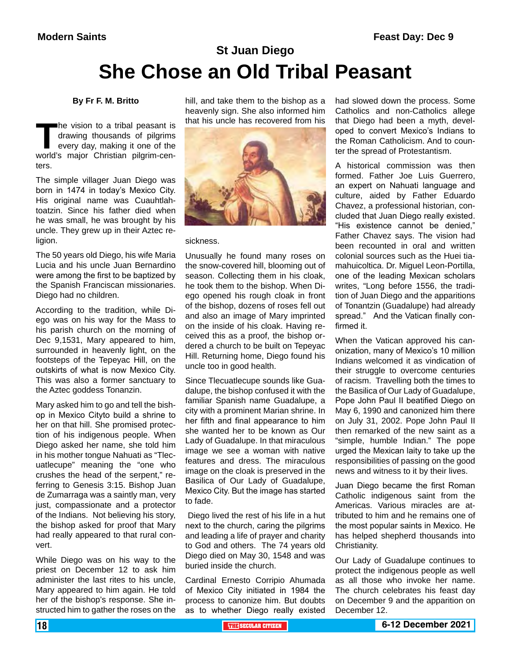## **St Juan Diego She Chose an Old Tribal Peasant**

#### **By Fr F. M. Britto**

The vision to a tribal peasant is<br>
drawing thousands of pilgrims<br>
every day, making it one of the<br>
world's major Christian pilgrim-cendrawing thousands of pilgrims every day, making it one of the ters

The simple villager Juan Diego was born in 1474 in today's Mexico City. His original name was Cuauhtlahtoatzin. Since his father died when he was small, he was brought by his uncle. They grew up in their Aztec religion.

The 50 years old Diego, his wife Maria Lucia and his uncle Juan Bernardino were among the first to be baptized by the Spanish Franciscan missionaries. Diego had no children.

According to the tradition, while Diego was on his way for the Mass to his parish church on the morning of Dec 9,1531, Mary appeared to him, surrounded in heavenly light, on the footsteps of the Tepeyac Hill, on the outskirts of what is now Mexico City. This was also a former sanctuary to the Aztec goddess Tonanzin.

Mary asked him to go and tell the bishop in Mexico Cityto build a shrine to her on that hill. She promised protection of his indigenous people. When Diego asked her name, she told him in his mother tongue Nahuati as "Tlecuatlecupe" meaning the "one who crushes the head of the serpent," referring to Genesis 3:15. Bishop Juan de Zumarraga was a saintly man, very just, compassionate and a protector of the Indians. Not believing his story, the bishop asked for proof that Mary had really appeared to that rural convert.

While Diego was on his way to the priest on December 12 to ask him administer the last rites to his uncle, Mary appeared to him again. He told her of the bishop's response. She instructed him to gather the roses on the

hill, and take them to the bishop as a heavenly sign. She also informed him that his uncle has recovered from his



#### sickness.

Unusually he found many roses on the snow-covered hill, blooming out of season. Collecting them in his cloak, he took them to the bishop. When Diego opened his rough cloak in front of the bishop, dozens of roses fell out and also an image of Mary imprinted on the inside of his cloak. Having received this as a proof, the bishop ordered a church to be built on Tepeyac Hill. Returning home, Diego found his uncle too in good health.

Since Tlecuatlecupe sounds like Guadalupe, the bishop confused it with the familiar Spanish name Guadalupe, a city with a prominent Marian shrine. In her fifth and final appearance to him she wanted her to be known as Our Lady of Guadalupe. In that miraculous image we see a woman with native features and dress. The miraculous image on the cloak is preserved in the Basilica of Our Lady of Guadalupe, Mexico City. But the image has started to fade.

 Diego lived the rest of his life in a hut next to the church, caring the pilgrims and leading a life of prayer and charity to God and others. The 74 years old Diego died on May 30, 1548 and was buried inside the church.

Cardinal Ernesto Corripio Ahumada of Mexico City initiated in 1984 the process to canonize him. But doubts as to whether Diego really existed had slowed down the process. Some Catholics and non-Catholics allege that Diego had been a myth, developed to convert Mexico's Indians to the Roman Catholicism. And to counter the spread of Protestantism.

A historical commission was then formed. Father Joe Luis Guerrero, an expert on Nahuati language and culture, aided by Father Eduardo Chavez, a professional historian, concluded that Juan Diego really existed. "His existence cannot be denied," Father Chavez says. The vision had been recounted in oral and written colonial sources such as the Huei tiamahuicoltica. Dr. Miguel Leon-Portilla, one of the leading Mexican scholars writes, "Long before 1556, the tradition of Juan Diego and the apparitions of Tonantzin (Guadalupe) had already spread." And the Vatican finally confirmed it.

When the Vatican approved his canonization, many of Mexico's 10 million Indians welcomed it as vindication of their struggle to overcome centuries of racism. Travelling both the times to the Basilica of Our Lady of Guadalupe, Pope John Paul II beatified Diego on May 6, 1990 and canonized him there on July 31, 2002. Pope John Paul II then remarked of the new saint as a "simple, humble Indian." The pope urged the Mexican laity to take up the responsibilities of passing on the good news and witness to it by their lives.

Juan Diego became the first Roman Catholic indigenous saint from the Americas. Various miracles are attributed to him and he remains one of the most popular saints in Mexico. He has helped shepherd thousands into Christianity.

Our Lady of Guadalupe continues to protect the indigenous people as well as all those who invoke her name. The church celebrates his feast day on December 9 and the apparition on December 12.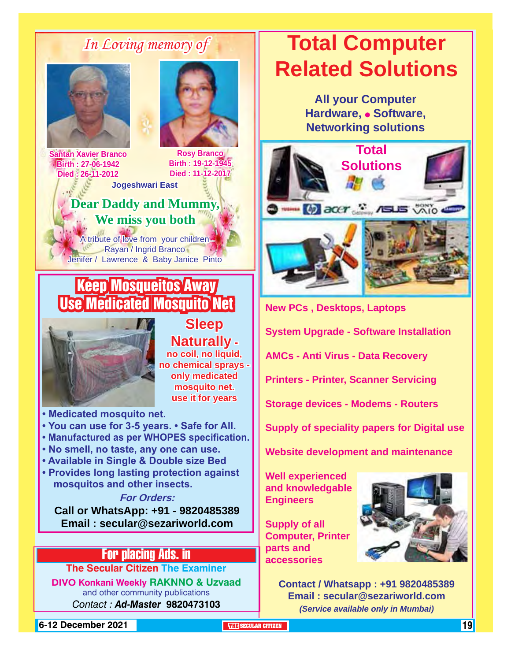## *In Loving memory of*





**Birth : 19-12-1945 Died : 11-12-2017**

**Santan Xavier Branco Birth : 27-06-1942 Died : 26-11-2012**

**Jogeshwari East**

## **Dear Daddy and Mummy, We miss you both**

A tribute of love from your children Rayan / Ingrid Branco Jenifer / Lawrence & Baby Janice Pinto

## Keep Mosqueitos Away Use Medicated Mosquito Net



**Sleep Naturally no coil, no liquid, no chemical sprays only medicated mosquito net. use it for years**

**• Medicated mosquito net.**

- **You can use for 3-5 years. Safe for All.**
- **Manufactured as per WHOPES specification.**
- **No smell, no taste, any one can use.**
- **Available in Single & Double size Bed**
- **Provides long lasting protection against mosquitos and other insects.**

**For Orders:** 

**Call or WhatsApp: +91 - 9820485389 Email : secular@sezariworld.com**

## For placing Ads. in

**The Secular Citizen The Examiner**

**DIVO Konkani Weekly RAKNNO & Uzvaad** and other community publications *Contact : Ad-Master* **9820473103**

## **Total Computer Related Solutions**

**All your Computer Hardware, • Software, Networking solutions**



**New PCs , Desktops, Laptops System Upgrade - Software Installation AMCs - Anti Virus - Data Recovery Printers - Printer, Scanner Servicing Storage devices - Modems - Routers Supply of speciality papers for Digital use**

**Website development and maintenance**

**Well experienced and knowledgable Engineers**

**Supply of all Computer, Printer parts and accessories**



**Contact / Whatsapp : +91 9820485389 Email : secular@sezariworld.com** *(Service available only in Mumbai)*

**6-12 December 2021 The City of the SECULAR CITIZEN THE SECULAR CITIZEN THE THE THE THE THE THE THE**